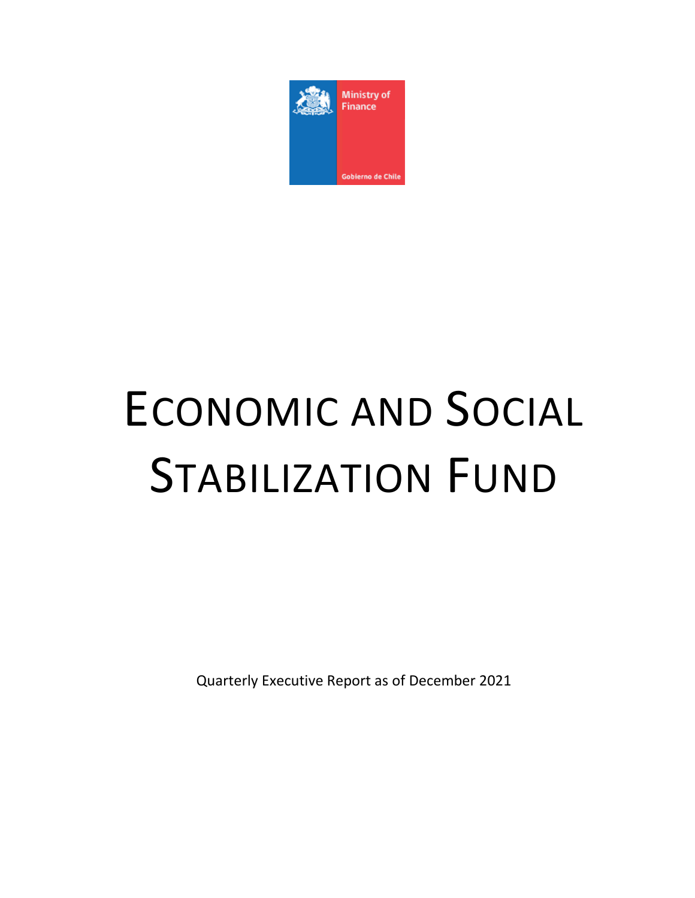

# ECONOMIC AND SOCIAL STABILIZATION FUND

Quarterly Executive Report as of December 2021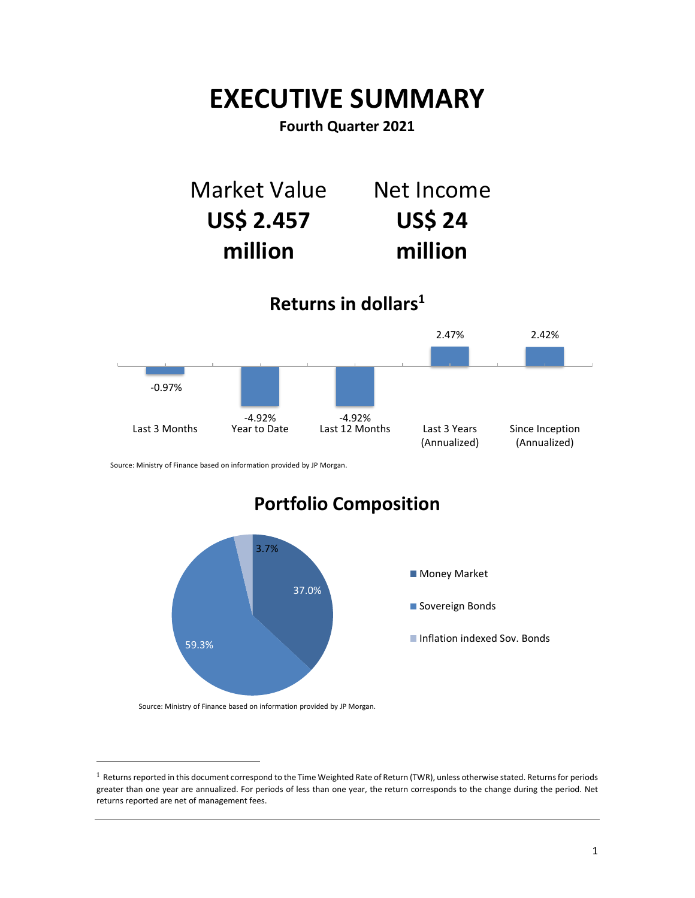## **EXECUTIVE SUMMARY**

**Fourth Quarter 2021**

Market Value **US\$ 2.457 million** Net Income **US\$ 24 million**

**Returns in dollars<sup>1</sup>**



Source: Ministry of Finance based on information provided by JP Morgan.

## **Portfolio Composition**



Source: Ministry of Finance based on information provided by JP Morgan.

 $\overline{a}$ 

 $^1$  Returns reported in this document correspond to the Time Weighted Rate of Return (TWR), unless otherwise stated. Returns for periods greater than one year are annualized. For periods of less than one year, the return corresponds to the change during the period. Net returns reported are net of management fees.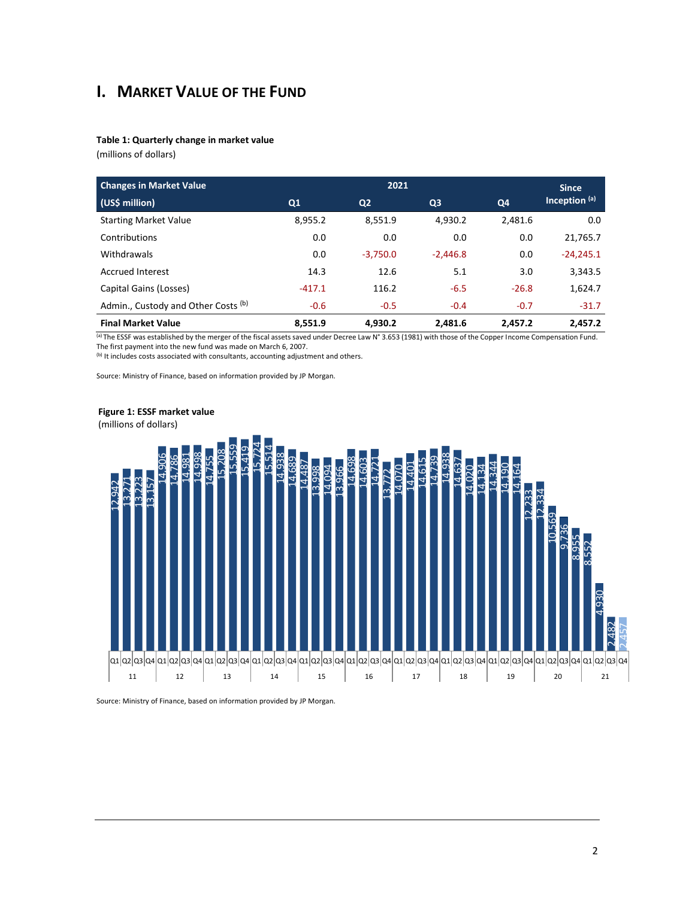## **I. MARKET VALUE OF THE FUND**

#### **Table 1: Quarterly change in market value**

(millions of dollars)

| <b>Changes in Market Value</b><br>2021 |          |                |                | <b>Since</b> |                 |
|----------------------------------------|----------|----------------|----------------|--------------|-----------------|
| (US\$ million)                         | Q1       | Q <sub>2</sub> | Q <sub>3</sub> | Q4           | Inception $(a)$ |
| <b>Starting Market Value</b>           | 8.955.2  | 8.551.9        | 4,930.2        | 2.481.6      | 0.0             |
| Contributions                          | 0.0      | 0.0            | 0.0            | 0.0          | 21,765.7        |
| Withdrawals                            | 0.0      | $-3.750.0$     | $-2.446.8$     | 0.0          | $-24,245.1$     |
| <b>Accrued Interest</b>                | 14.3     | 12.6           | 5.1            | 3.0          | 3,343.5         |
| Capital Gains (Losses)                 | $-417.1$ | 116.2          | $-6.5$         | $-26.8$      | 1,624.7         |
| Admin., Custody and Other Costs (b)    | $-0.6$   | $-0.5$         | $-0.4$         | $-0.7$       | $-31.7$         |
| <b>Final Market Value</b>              | 8.551.9  | 4.930.2        | 2.481.6        | 2.457.2      | 2.457.2         |

(a) The ESSF was established by the merger of the fiscal assets saved under Decree Law N° 3.653 (1981) with those of the Copper Income Compensation Fund. The first payment into the new fund was made on March 6, 2007.

(b) It includes costs associated with consultants, accounting adjustment and others.

Source: Ministry of Finance, based on information provided by JP Morgan.



**Figure 1: ESSF market value**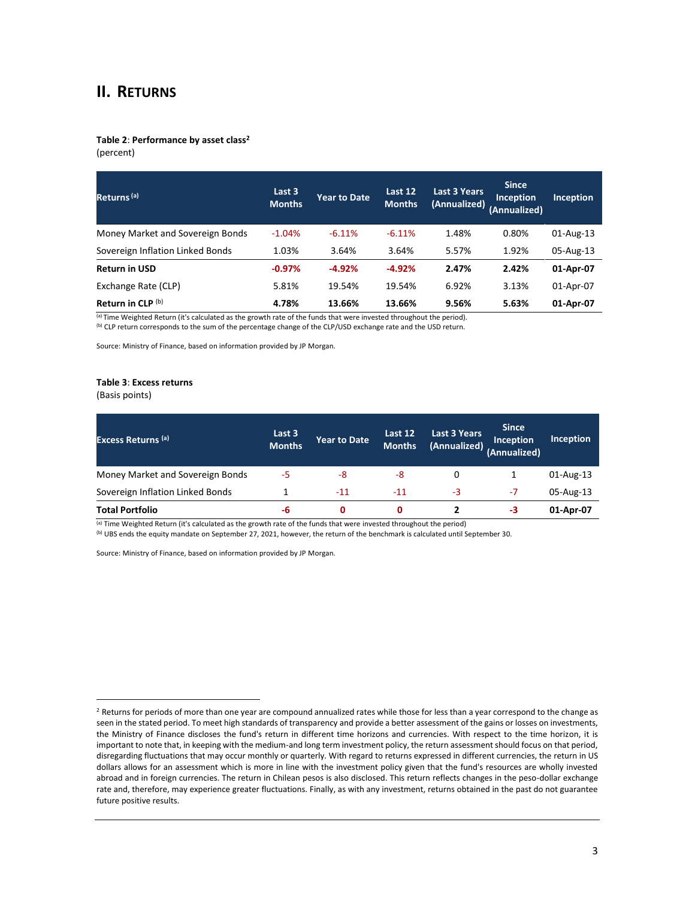## **II. RETURNS**

## **Table 2**: **Performance by asset class<sup>2</sup>**

(percent)

| Returns <sup>(a)</sup>           | Last 3<br><b>Months</b> | <b>Year to Date</b> | Last 12<br><b>Months</b> | Last 3 Years<br>(Annualized) | <b>Since</b><br><b>Inception</b><br>(Annualized) | <b>Inception</b> |
|----------------------------------|-------------------------|---------------------|--------------------------|------------------------------|--------------------------------------------------|------------------|
| Money Market and Sovereign Bonds | $-1.04%$                | $-6.11%$            | $-6.11%$                 | 1.48%                        | 0.80%                                            | 01-Aug-13        |
| Sovereign Inflation Linked Bonds | 1.03%                   | 3.64%               | 3.64%                    | 5.57%                        | 1.92%                                            | 05-Aug-13        |
| <b>Return in USD</b>             | $-0.97%$                | $-4.92%$            | $-4.92%$                 | 2.47%                        | 2.42%                                            | 01-Apr-07        |
| Exchange Rate (CLP)              | 5.81%                   | 19.54%              | 19.54%                   | 6.92%                        | 3.13%                                            | 01-Apr-07        |
| Return in CLP (b)                | 4.78%                   | 13.66%              | 13.66%                   | 9.56%                        | 5.63%                                            | 01-Apr-07        |

(a) Time Weighted Return (it's calculated as the growth rate of the funds that were invested throughout the period).

(b) CLP return corresponds to the sum of the percentage change of the CLP/USD exchange rate and the USD return.

Source: Ministry of Finance, based on information provided by JP Morgan.

#### **Table 3**: **Excess returns**

(Basis points)

 $\overline{a}$ 

| <b>Excess Returns (a)</b>        | Last 3<br><b>Months</b> | <b>Year to Date</b> | Last 12<br><b>Months</b> | <b>Last 3 Years</b><br>(Annualized) | <b>Since</b><br><b>Inception</b><br>(Annualized) | <b>Inception</b> |
|----------------------------------|-------------------------|---------------------|--------------------------|-------------------------------------|--------------------------------------------------|------------------|
| Money Market and Sovereign Bonds | -5                      | -8                  | -8                       | 0                                   |                                                  | 01-Aug-13        |
| Sovereign Inflation Linked Bonds |                         | $-11$               | $-11$                    | -3                                  | -7                                               | 05-Aug-13        |
| <b>Total Portfolio</b>           | -6                      | 0                   | 0                        |                                     | -3                                               | 01-Apr-07        |

 $\overline{a}$ ) Time Weighted Return (it's calculated as the growth rate of the funds that were invested throughout the period)

(b) UBS ends the equity mandate on September 27, 2021, however, the return of the benchmark is calculated until September 30.

Source: Ministry of Finance, based on information provided by JP Morgan.

<sup>&</sup>lt;sup>2</sup> Returns for periods of more than one year are compound annualized rates while those for less than a year correspond to the change as seen in the stated period. To meet high standards of transparency and provide a better assessment of the gains or losses on investments, the Ministry of Finance discloses the fund's return in different time horizons and currencies. With respect to the time horizon, it is important to note that, in keeping with the medium-and long term investment policy, the return assessment should focus on that period, disregarding fluctuations that may occur monthly or quarterly. With regard to returns expressed in different currencies, the return in US dollars allows for an assessment which is more in line with the investment policy given that the fund's resources are wholly invested abroad and in foreign currencies. The return in Chilean pesos is also disclosed. This return reflects changes in the peso-dollar exchange rate and, therefore, may experience greater fluctuations. Finally, as with any investment, returns obtained in the past do not guarantee future positive results.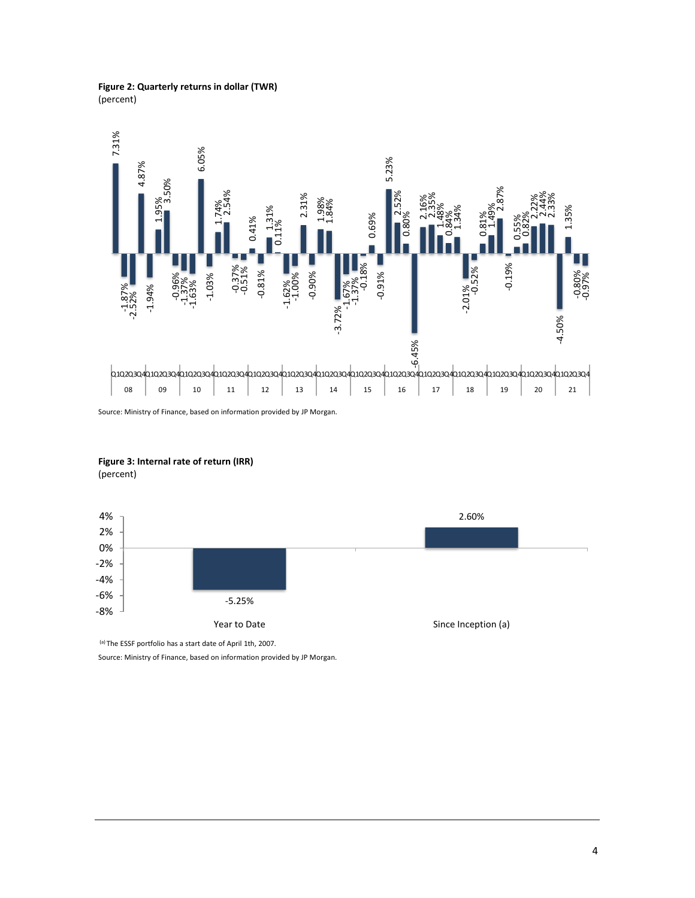#### **Figure 2: Quarterly returns in dollar (TWR)** (percent)



Source: Ministry of Finance, based on information provided by JP Morgan.

**Figure 3: Internal rate of return (IRR)** (percent)



(a) The ESSF portfolio has a start date of April 1th, 2007.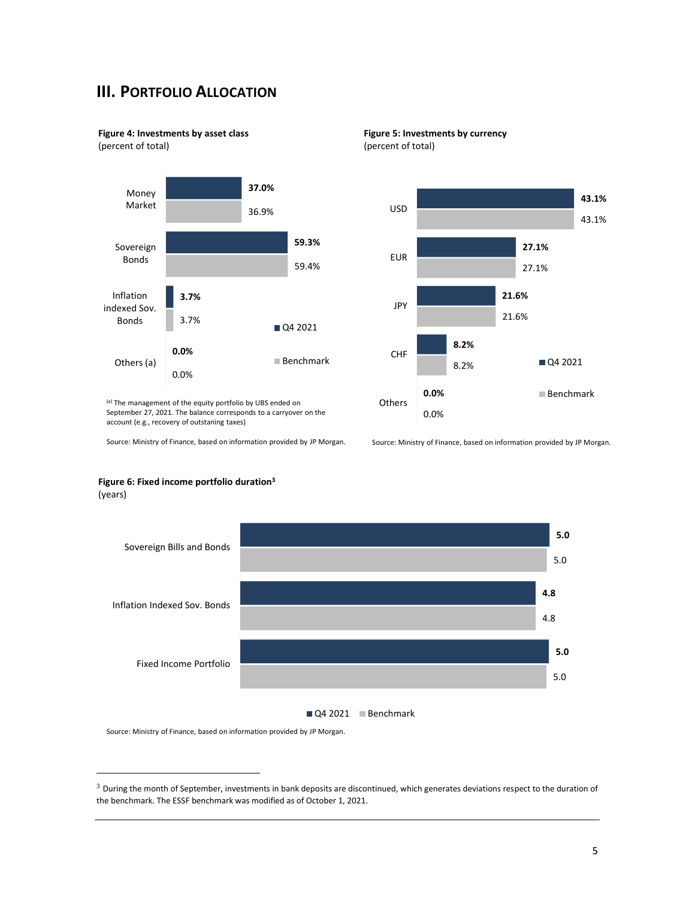## **III. PORTFOLIO ALLOCATION**

**Figure 4: Investments by asset class**

(percent of total)



(a) The management of the equity portfolio by UBS ended on September 27, 2021. The balance corresponds to a carryover on the account (e.g., recovery of outstaning taxes)

Source: Ministry of Finance, based on information provided by JP Morgan.





Source: Ministry of Finance, based on information provided by JP Morgan.



#### **Figure 6: Fixed income portfolio duration<sup>3</sup>** (years)

Q4 2021 Benchmark

Source: Ministry of Finance, based on information provided by JP Morgan.

 $\overline{a}$ 

 $3$  During the month of September, investments in bank deposits are discontinued, which generates deviations respect to the duration of the benchmark. The ESSF benchmark was modified as of October 1, 2021.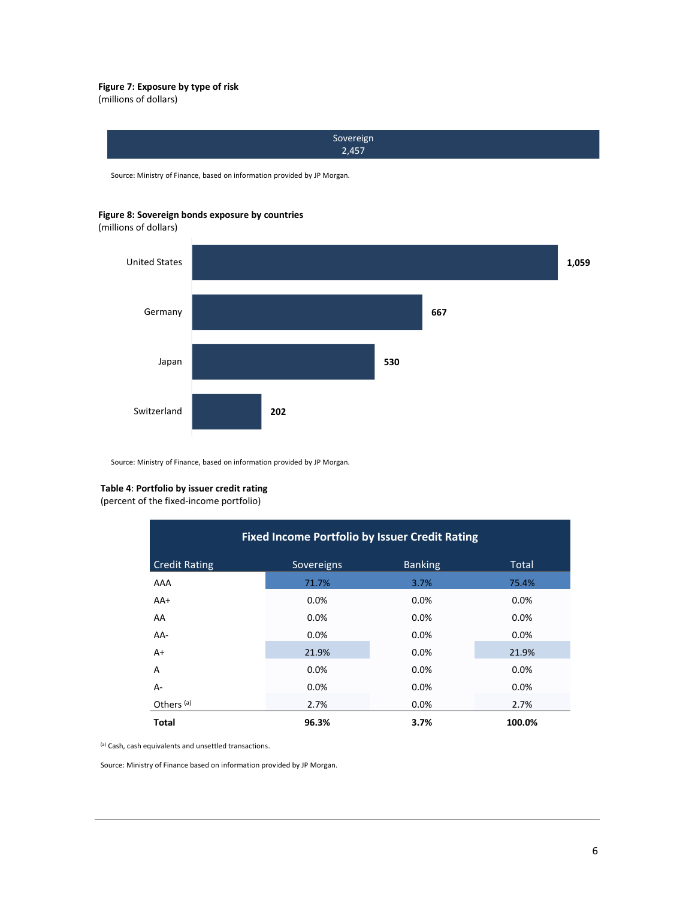#### **Figure 7: Exposure by type of risk**

(millions of dollars)



Source: Ministry of Finance, based on information provided by JP Morgan.

#### **Figure 8: Sovereign bonds exposure by countries**

(millions of dollars)



Source: Ministry of Finance, based on information provided by JP Morgan.

#### **Table 4**: **Portfolio by issuer credit rating**

(percent of the fixed-income portfolio)

| <b>Fixed Income Portfolio by Issuer Credit Rating</b> |            |                |              |  |  |  |
|-------------------------------------------------------|------------|----------------|--------------|--|--|--|
| <b>Credit Rating</b>                                  | Sovereigns | <b>Banking</b> | <b>Total</b> |  |  |  |
| AAA                                                   | 71.7%      | 3.7%           | 75.4%        |  |  |  |
| $AA+$                                                 | 0.0%       | 0.0%           | 0.0%         |  |  |  |
| AA                                                    | 0.0%       | 0.0%           | $0.0\%$      |  |  |  |
| AA-                                                   | 0.0%       | 0.0%           | $0.0\%$      |  |  |  |
| $A+$                                                  | 21.9%      | 0.0%           | 21.9%        |  |  |  |
| A                                                     | 0.0%       | 0.0%           | $0.0\%$      |  |  |  |
| A-                                                    | 0.0%       | 0.0%           | 0.0%         |  |  |  |
| Others <sup>(a)</sup>                                 | 2.7%       | 0.0%           | 2.7%         |  |  |  |
| <b>Total</b>                                          | 96.3%      | 3.7%           | 100.0%       |  |  |  |

(a) Cash, cash equivalents and unsettled transactions.

Source: Ministry of Finance based on information provided by JP Morgan.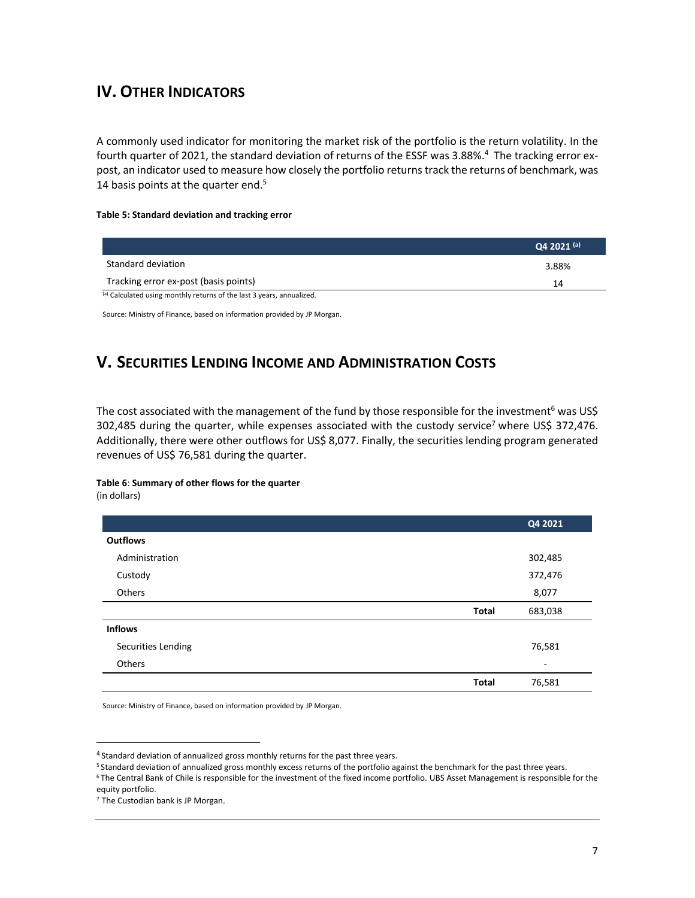## **IV. OTHER INDICATORS**

A commonly used indicator for monitoring the market risk of the portfolio is the return volatility. In the fourth quarter of 2021, the standard deviation of returns of the ESSF was 3.88%.<sup>4</sup> The tracking error expost, an indicator used to measure how closely the portfolio returns track the returns of benchmark, was 14 basis points at the quarter end.<sup>5</sup>

#### **Table 5: Standard deviation and tracking error**

|                                                                       | Q4 2021 (a) |
|-----------------------------------------------------------------------|-------------|
| Standard deviation                                                    | 3.88%       |
| Tracking error ex-post (basis points)                                 | 14          |
| (a) Calculated using monthly returns of the last 3 years, annualized. |             |

Source: Ministry of Finance, based on information provided by JP Morgan.

## **V. SECURITIES LENDING INCOME AND ADMINISTRATION COSTS**

The cost associated with the management of the fund by those responsible for the investment<sup>6</sup> was US\$ 302,485 during the quarter, while expenses associated with the custody service<sup>7</sup> where US\$ 372,476. Additionally, there were other outflows for US\$ 8,077. Finally, the securities lending program generated revenues of US\$ 76,581 during the quarter.

#### **Table 6**: **Summary of other flows for the quarter**

(in dollars)

 $\overline{a}$ 

|                    |              | Q4 2021 |
|--------------------|--------------|---------|
| <b>Outflows</b>    |              |         |
| Administration     |              | 302,485 |
| Custody            |              | 372,476 |
| Others             |              | 8,077   |
|                    | <b>Total</b> | 683,038 |
| <b>Inflows</b>     |              |         |
| Securities Lending |              | 76,581  |
| Others             |              | ٠       |
|                    | <b>Total</b> | 76,581  |

Source: Ministry of Finance, based on information provided by JP Morgan.

<sup>&</sup>lt;sup>4</sup> Standard deviation of annualized gross monthly returns for the past three years.

<sup>5</sup> Standard deviation of annualized gross monthly excess returns of the portfolio against the benchmark for the past three years.

<sup>6</sup> The Central Bank of Chile is responsible for the investment of the fixed income portfolio. UBS Asset Management is responsible for the equity portfolio.

<sup>7</sup> The Custodian bank is JP Morgan.